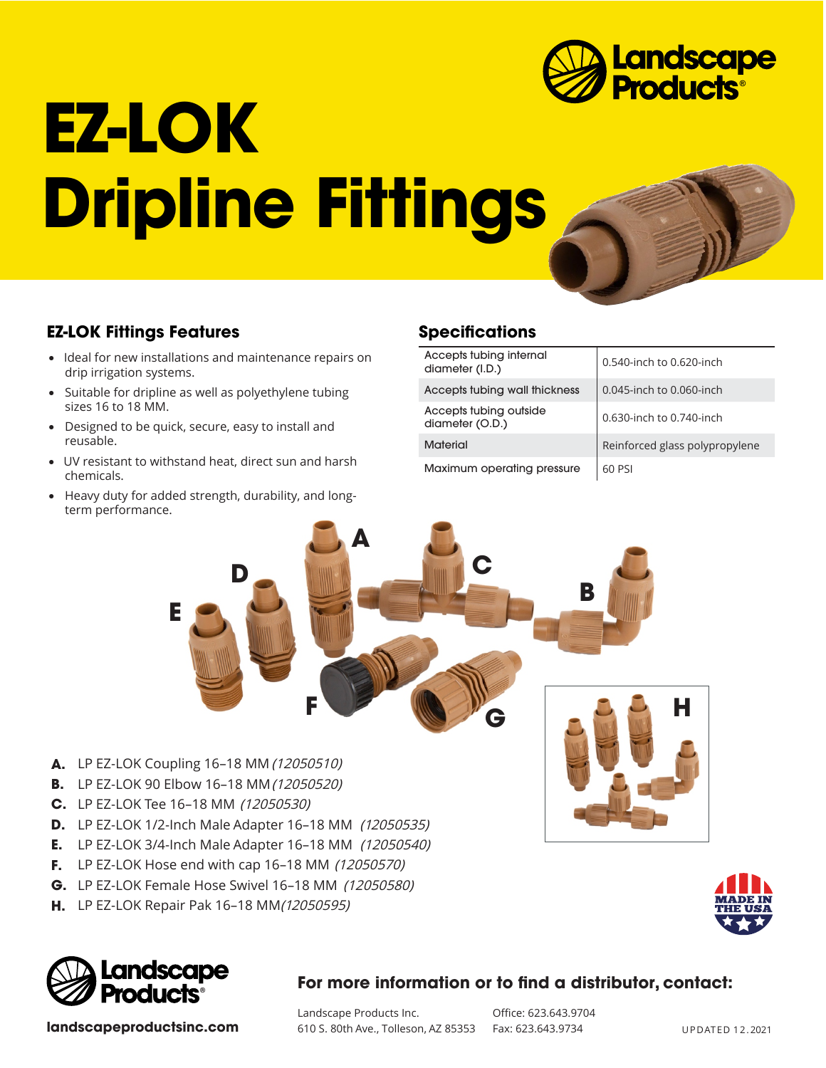

# **EZ-LOK Dripline Fittings**



- Ideal for new installations and maintenance repairs on drip irrigation systems.
- Suitable for dripline as well as polyethylene tubing sizes 16 to 18 MM.
- Designed to be quick, secure, easy to install and reusable.
- UV resistant to withstand heat, direct sun and harsh chemicals.
- Heavy duty for added strength, durability, and longterm performance.

## **Specifications**

| Accepts tubing internal<br>diameter (I.D.) | 0.540-inch to 0.620-inch       |
|--------------------------------------------|--------------------------------|
| Accepts tubing wall thickness              | 0.045-inch to 0.060-inch       |
| Accepts tubing outside<br>diameter (O.D.)  | 0.630-inch to 0.740-inch       |
| <b>Material</b>                            | Reinforced glass polypropylene |
| Maximum operating pressure                 | 60 PSI                         |



- LP EZ-LOK Coupling 16–18 MM (12050510) **A.**
- LP EZ-LOK 90 Elbow 16–18 MM (12050520) **B.**
- LP EZ-LOK Tee 16–18 MM (12050530) **C.**
- LP EZ-LOK 1/2-Inch Male Adapter 16–18 MM (12050535) **D.**
- LP EZ-LOK 3/4-Inch Male Adapter 16–18 MM (12050540) **E.**
- LP EZ-LOK Hose end with cap 16–18 MM (12050570) **F.**
- LP EZ-LOK Female Hose Swivel 16–18 MM (12050580) **G.**
- **H.** LP EZ-LOK Repair Pak 16–18 MM*(12050595)*





**landscapeproductsinc.com**

### **For more information or to find a distributor, contact:**

Landscape Products Inc. 610 S. 80th Ave., Tolleson, AZ 85353 Fax: 623.643.9734

Office: 623.643.9704